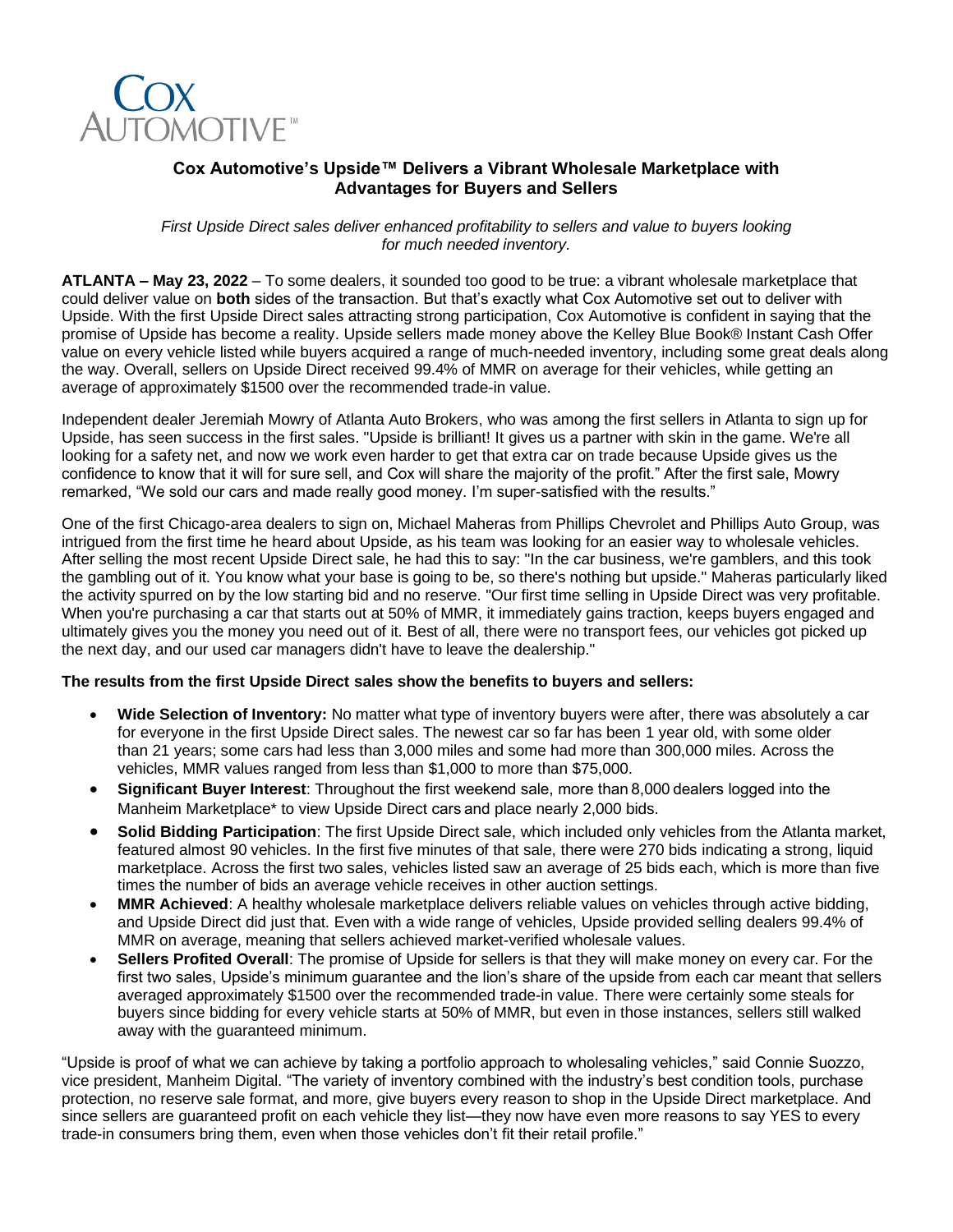

# **Cox Automotive's Upside™ Delivers a Vibrant Wholesale Marketplace with Advantages for Buyers and Sellers**

*First Upside Direct sales deliver enhanced profitability to sellers and value to buyers looking for much needed inventory.*

**ATLANTA – May 23, 2022** – To some dealers, it sounded too good to be true: a vibrant wholesale marketplace that could deliver value on **both** sides of the transaction. But that's exactly what Cox Automotive set out to deliver with Upside. With the first Upside Direct sales attracting strong participation, Cox Automotive is confident in saying that the promise of Upside has become a reality. Upside sellers made money above the Kelley Blue Book® Instant Cash Offer value on every vehicle listed while buyers acquired a range of much-needed inventory, including some great deals along the way. Overall, sellers on Upside Direct received 99.4% of MMR on average for their vehicles, while getting an average of approximately \$1500 over the recommended trade-in value.

Independent dealer Jeremiah Mowry of Atlanta Auto Brokers, who was among the first sellers in Atlanta to sign up for Upside, has seen success in the first sales. "Upside is brilliant! It gives us a partner with skin in the game. We're all looking for a safety net, and now we work even harder to get that extra car on trade because Upside gives us the confidence to know that it will for sure sell, and Cox will share the majority of the profit." After the first sale, Mowry remarked, "We sold our cars and made really good money. I'm super-satisfied with the results."

One of the first Chicago-area dealers to sign on, Michael Maheras from Phillips Chevrolet and Phillips Auto Group, was intrigued from the first time he heard about Upside, as his team was looking for an easier way to wholesale vehicles. After selling the most recent Upside Direct sale, he had this to say: "In the car business, we're gamblers, and this took the gambling out of it. You know what your base is going to be, so there's nothing but upside." Maheras particularly liked the activity spurred on by the low starting bid and no reserve. "Our first time selling in Upside Direct was very profitable. When you're purchasing a car that starts out at 50% of MMR, it immediately gains traction, keeps buyers engaged and ultimately gives you the money you need out of it. Best of all, there were no transport fees, our vehicles got picked up the next day, and our used car managers didn't have to leave the dealership."

## **The results from the first Upside Direct sales show the benefits to buyers and sellers:**

- **Wide Selection of Inventory:** No matter what type of inventory buyers were after, there was absolutely a car for everyone in the first Upside Direct sales. The newest car so far has been 1 year old, with some older than 21 years; some cars had less than 3,000 miles and some had more than 300,000 miles. Across the vehicles, MMR values ranged from less than \$1,000 to more than \$75,000.
- **Significant Buyer Interest**: Throughout the first weekend sale, more than 8,000 dealers logged into the Manheim Marketplace\* to view Upside Direct cars and place nearly 2,000 bids.
- **Solid Bidding Participation**: The first Upside Direct sale, which included only vehicles from the Atlanta market, featured almost 90 vehicles. In the first five minutes of that sale, there were 270 bids indicating a strong, liquid marketplace. Across the first two sales, vehicles listed saw an average of 25 bids each, which is more than five times the number of bids an average vehicle receives in other auction settings.
- **MMR Achieved**: A healthy wholesale marketplace delivers reliable values on vehicles through active bidding, and Upside Direct did just that. Even with a wide range of vehicles, Upside provided selling dealers 99.4% of MMR on average, meaning that sellers achieved market-verified wholesale values.
- **Sellers Profited Overall**: The promise of Upside for sellers is that they will make money on every car. For the first two sales, Upside's minimum guarantee and the lion's share of the upside from each car meant that sellers averaged approximately \$1500 over the recommended trade-in value. There were certainly some steals for buyers since bidding for every vehicle starts at 50% of MMR, but even in those instances, sellers still walked away with the guaranteed minimum.

"Upside is proof of what we can achieve by taking a portfolio approach to wholesaling vehicles," said Connie Suozzo, vice president, Manheim Digital. "The variety of inventory combined with the industry's best condition tools, purchase protection, no reserve sale format, and more, give buyers every reason to shop in the Upside Direct marketplace. And since sellers are guaranteed profit on each vehicle they list—they now have even more reasons to say YES to every trade-in consumers bring them, even when those vehicles don't fit their retail profile."